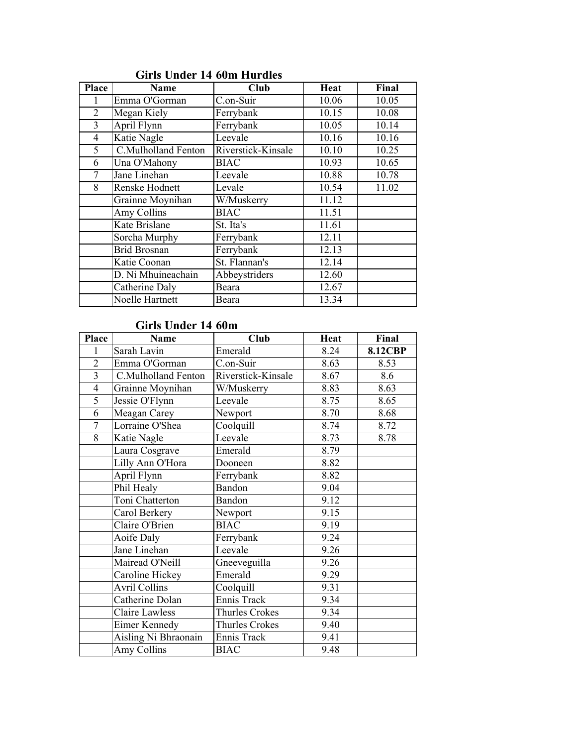| <b>Place</b>   | <b>Name</b>         | Club               | Heat  | Final |
|----------------|---------------------|--------------------|-------|-------|
|                | Emma O'Gorman       | C.on-Suir          | 10.06 | 10.05 |
| $\overline{2}$ | Megan Kiely         | Ferrybank          | 10.15 | 10.08 |
| 3              | April Flynn         | Ferrybank          | 10.05 | 10.14 |
| 4              | Katie Nagle         | Leevale            | 10.16 | 10.16 |
| 5              | C.Mulholland Fenton | Riverstick-Kinsale | 10.10 | 10.25 |
| 6              | Una O'Mahony        | <b>BIAC</b>        | 10.93 | 10.65 |
| 7              | Jane Linehan        | Leevale            | 10.88 | 10.78 |
| 8              | Renske Hodnett      | Levale             | 10.54 | 11.02 |
|                | Grainne Moynihan    | W/Muskerry         | 11.12 |       |
|                | Amy Collins         | <b>BIAC</b>        | 11.51 |       |
|                | Kate Brislane       | St. Ita's          | 11.61 |       |
|                | Sorcha Murphy       | Ferrybank          | 12.11 |       |
|                | <b>Brid Brosnan</b> | Ferrybank          | 12.13 |       |
|                | Katie Coonan        | St. Flannan's      | 12.14 |       |
|                | D. Ni Mhuineachain  | Abbeystriders      | 12.60 |       |
|                | Catherine Daly      | Beara              | 12.67 |       |
|                | Noelle Hartnett     | Beara              | 13.34 |       |

## Girls Under 14 60m Hurdles

#### Girls Under 14 60m

| Place          | Name                  | Club               | <b>Heat</b> | Final          |
|----------------|-----------------------|--------------------|-------------|----------------|
| 1              | Sarah Lavin           | Emerald            | 8.24        | <b>8.12CBP</b> |
| $\overline{2}$ | Emma O'Gorman         | C.on-Suir          | 8.63        | 8.53           |
| $\overline{3}$ | C.Mulholland Fenton   | Riverstick-Kinsale | 8.67        | 8.6            |
| $\overline{4}$ | Grainne Moynihan      | W/Muskerry         | 8.83        | 8.63           |
| $\overline{5}$ | Jessie O'Flynn        | Leevale            | 8.75        | 8.65           |
| 6              | Meagan Carey          | Newport            | 8.70        | 8.68           |
| $\overline{7}$ | Lorraine O'Shea       | Coolquill          | 8.74        | 8.72           |
| 8              | Katie Nagle           | Leevale            | 8.73        | 8.78           |
|                | Laura Cosgrave        | Emerald            | 8.79        |                |
|                | Lilly Ann O'Hora      | Dooneen            | 8.82        |                |
|                | April Flynn           | Ferrybank          | 8.82        |                |
|                | Phil Healy            | <b>Bandon</b>      | 9.04        |                |
|                | Toni Chatterton       | <b>Bandon</b>      | 9.12        |                |
|                | Carol Berkery         | Newport            | 9.15        |                |
|                | Claire O'Brien        | <b>BIAC</b>        | 9.19        |                |
|                | Aoife Daly            | Ferrybank          | 9.24        |                |
|                | Jane Linehan          | Leevale            | 9.26        |                |
|                | Mairead O'Neill       | Gneeveguilla       | 9.26        |                |
|                | Caroline Hickey       | Emerald            | 9.29        |                |
|                | <b>Avril Collins</b>  | Coolquill          | 9.31        |                |
|                | Catherine Dolan       | Ennis Track        | 9.34        |                |
|                | <b>Claire Lawless</b> | Thurles Crokes     | 9.34        |                |
|                | Eimer Kennedy         | Thurles Crokes     | 9.40        |                |
|                | Aisling Ni Bhraonain  | Ennis Track        | 9.41        |                |
|                | Amy Collins           | <b>BIAC</b>        | 9.48        |                |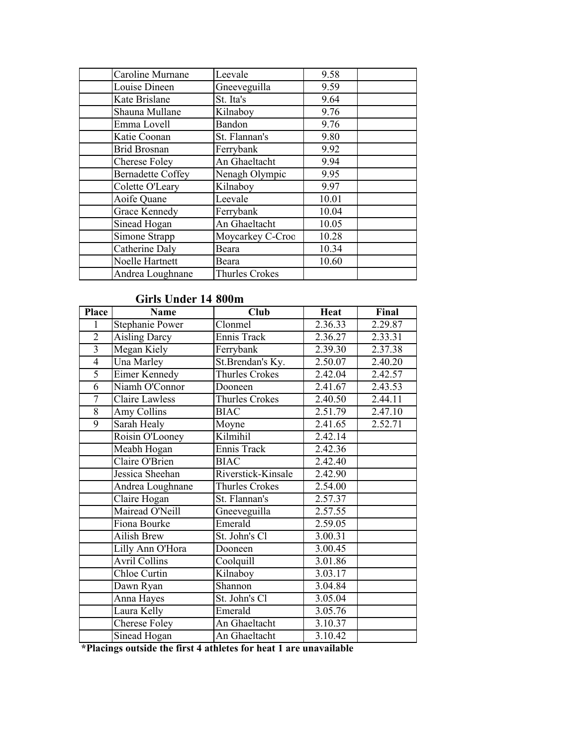| Caroline Murnane         | Leevale          | 9.58  |
|--------------------------|------------------|-------|
| Louise Dineen            | Gneeveguilla     | 9.59  |
| Kate Brislane            | St. Ita's        | 9.64  |
| Shauna Mullane           | Kilnaboy         | 9.76  |
| Emma Lovell              | Bandon           | 9.76  |
| Katie Coonan             | St. Flannan's    | 9.80  |
| <b>Brid Brosnan</b>      | Ferrybank        | 9.92  |
| Cherese Foley            | An Ghaeltacht    | 9.94  |
| <b>Bernadette Coffey</b> | Nenagh Olympic   | 9.95  |
| Colette O'Leary          | Kilnaboy         | 9.97  |
| Aoife Quane              | Leevale          | 10.01 |
| <b>Grace Kennedy</b>     | Ferrybank        | 10.04 |
| Sinead Hogan             | An Ghaeltacht    | 10.05 |
| Simone Strapp            | Moycarkey C-Croo | 10.28 |
| Catherine Daly           | Beara            | 10.34 |
| Noelle Hartnett          | Beara            | 10.60 |
| Andrea Loughnane         | Thurles Crokes   |       |

## Girls Under 14 800m

| <b>Place</b>   | <b>Name</b>           | <b>Club</b>        | <b>Heat</b> | Final   |
|----------------|-----------------------|--------------------|-------------|---------|
| 1              | Stephanie Power       | Clonmel            | 2.36.33     | 2.29.87 |
| $\overline{2}$ | <b>Aisling Darcy</b>  | Ennis Track        | 2.36.27     | 2.33.31 |
| $\overline{3}$ | Megan Kiely           | Ferrybank          | 2.39.30     | 2.37.38 |
| $\overline{4}$ | Una Marley            | St.Brendan's Ky.   | 2.50.07     | 2.40.20 |
| $\overline{5}$ | Eimer Kennedy         | Thurles Crokes     | 2.42.04     | 2.42.57 |
| 6              | Niamh O'Connor        | Dooneen            | 2.41.67     | 2.43.53 |
| $\overline{7}$ | <b>Claire Lawless</b> | Thurles Crokes     | 2.40.50     | 2.44.11 |
| $\overline{8}$ | Amy Collins           | <b>BIAC</b>        | 2.51.79     | 2.47.10 |
| 9              | Sarah Healy           | Moyne              | 2.41.65     | 2.52.71 |
|                | Roisin O'Looney       | Kilmihil           | 2.42.14     |         |
|                | Meabh Hogan           | <b>Ennis Track</b> | 2.42.36     |         |
|                | Claire O'Brien        | <b>BIAC</b>        | 2.42.40     |         |
|                | Jessica Sheehan       | Riverstick-Kinsale | 2.42.90     |         |
|                | Andrea Loughnane      | Thurles Crokes     | 2.54.00     |         |
|                | Claire Hogan          | St. Flannan's      | 2.57.37     |         |
|                | Mairead O'Neill       | Gneeveguilla       | 2.57.55     |         |
|                | Fiona Bourke          | Emerald            | 2.59.05     |         |
|                | <b>Ailish Brew</b>    | St. John's Cl      | 3.00.31     |         |
|                | Lilly Ann O'Hora      | Dooneen            | 3.00.45     |         |
|                | <b>Avril Collins</b>  | Coolquill          | 3.01.86     |         |
|                | Chloe Curtin          | Kilnaboy           | 3.03.17     |         |
|                | Dawn Ryan             | Shannon            | 3.04.84     |         |
|                | Anna Hayes            | St. John's Cl      | 3.05.04     |         |
|                | Laura Kelly           | Emerald            | 3.05.76     |         |
|                | Cherese Foley         | An Ghaeltacht      | 3.10.37     |         |
|                | Sinead Hogan          | An Ghaeltacht      | 3.10.42     |         |

\*Placings outside the first 4 athletes for heat 1 are unavailable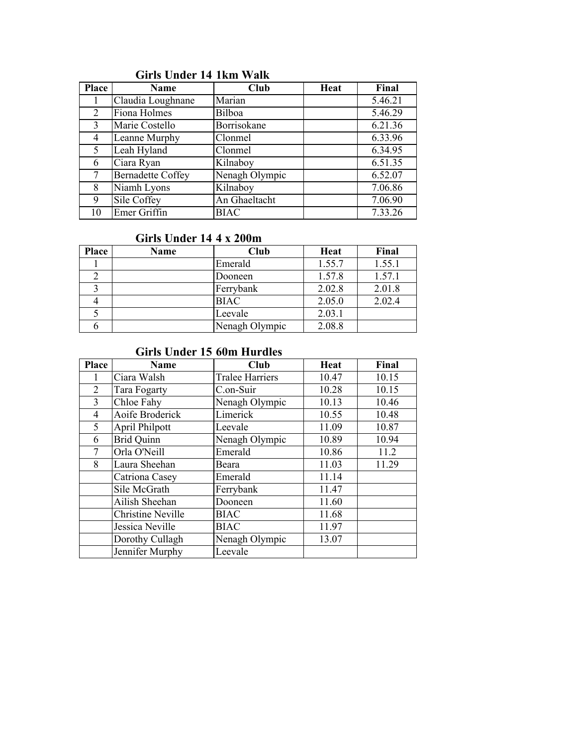| Place | Name                     | Club           | Heat | Final   |
|-------|--------------------------|----------------|------|---------|
|       | Claudia Loughnane        | Marian         |      | 5.46.21 |
| 2     | Fiona Holmes             | Bilboa         |      | 5.46.29 |
| 3     | Marie Costello           | Borrisokane    |      | 6.21.36 |
| 4     | Leanne Murphy            | Clonmel        |      | 6.33.96 |
| 5     | Leah Hyland              | Clonmel        |      | 6.34.95 |
| 6     | Ciara Ryan               | Kilnaboy       |      | 6.51.35 |
|       | <b>Bernadette Coffey</b> | Nenagh Olympic |      | 6.52.07 |
| 8     | Niamh Lyons              | Kilnaboy       |      | 7.06.86 |
| 9     | Sile Coffey              | An Ghaeltacht  |      | 7.06.90 |
| 10    | Emer Griffin             | <b>BIAC</b>    |      | 7.33.26 |

## Girls Under 14 1km Walk

#### Girls Under 14 4 x 200m

| Place | Name | Club           | Heat   | Final  |
|-------|------|----------------|--------|--------|
|       |      | Emerald        | 1.55.7 | 1.55.1 |
|       |      | Dooneen        | 1.57.8 | 1.57.1 |
|       |      | Ferrybank      | 2.02.8 | 2.01.8 |
|       |      | <b>BIAC</b>    | 2.05.0 | 2.02.4 |
|       |      | Leevale        | 2.03.1 |        |
|       |      | Nenagh Olympic | 2.08.8 |        |

# Girls Under 15 60m Hurdles

| <b>Place</b>   | Name                     | Club                   | Heat  | Final |
|----------------|--------------------------|------------------------|-------|-------|
|                | Ciara Walsh              | <b>Tralee Harriers</b> | 10.47 | 10.15 |
| $\overline{2}$ | Tara Fogarty             | C.on-Suir              | 10.28 | 10.15 |
| 3              | Chloe Fahy               | Nenagh Olympic         | 10.13 | 10.46 |
| 4              | Aoife Broderick          | Limerick               | 10.55 | 10.48 |
| 5              | April Philpott           | Leevale                | 11.09 | 10.87 |
| 6              | <b>Brid Quinn</b>        | Nenagh Olympic         | 10.89 | 10.94 |
| 7              | Orla O'Neill             | Emerald                | 10.86 | 11.2  |
| 8              | Laura Sheehan            | Beara                  | 11.03 | 11.29 |
|                | Catriona Casey           | Emerald                | 11.14 |       |
|                | Sile McGrath             | Ferrybank              | 11.47 |       |
|                | Ailish Sheehan           | Dooneen                | 11.60 |       |
|                | <b>Christine Neville</b> | <b>BIAC</b>            | 11.68 |       |
|                | Jessica Neville          | <b>BIAC</b>            | 11.97 |       |
|                | Dorothy Cullagh          | Nenagh Olympic         | 13.07 |       |
|                | Jennifer Murphy          | Leevale                |       |       |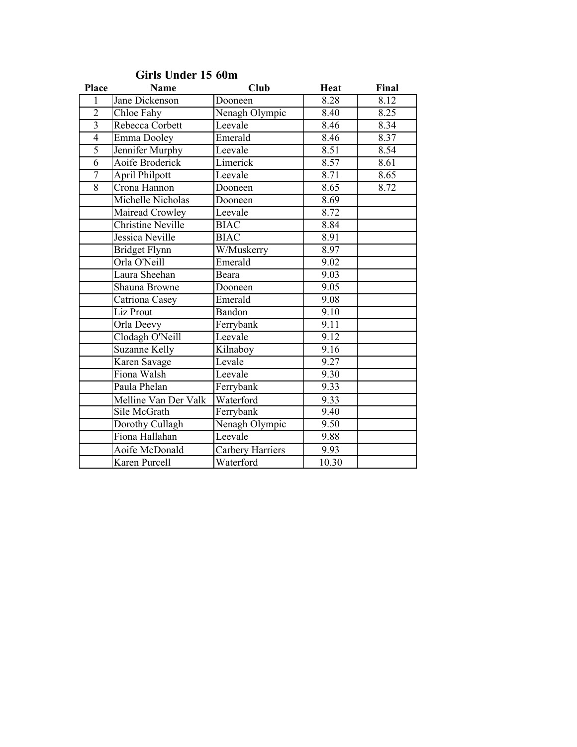| <b>Place</b>   | Name                     | <b>Club</b>      | <b>Heat</b> | Final |
|----------------|--------------------------|------------------|-------------|-------|
| $\mathbf{1}$   | Jane Dickenson           | Dooneen          | 8.28        | 8.12  |
| $\overline{2}$ | Chloe Fahy               | Nenagh Olympic   | 8.40        | 8.25  |
| $\overline{3}$ | Rebecca Corbett          | Leevale          | 8.46        | 8.34  |
| $\overline{4}$ | Emma Dooley              | Emerald          | 8.46        | 8.37  |
| 5              | Jennifer Murphy          | Leevale          | 8.51        | 8.54  |
| $\overline{6}$ | Aoife Broderick          | Limerick         | 8.57        | 8.61  |
| $\overline{7}$ | April Philpott           | Leevale          | 8.71        | 8.65  |
| $\overline{8}$ | Crona Hannon             | Dooneen          | 8.65        | 8.72  |
|                | Michelle Nicholas        | Dooneen          | 8.69        |       |
|                | Mairead Crowley          | Leevale          | 8.72        |       |
|                | <b>Christine Neville</b> | <b>BIAC</b>      | 8.84        |       |
|                | Jessica Neville          | <b>BIAC</b>      | 8.91        |       |
|                | <b>Bridget Flynn</b>     | W/Muskerry       | 8.97        |       |
|                | Orla O'Neill             | Emerald          | 9.02        |       |
|                | Laura Sheehan            | Beara            | 9.03        |       |
|                | Shauna Browne            | Dooneen          | 9.05        |       |
|                | Catriona Casey           | Emerald          | 9.08        |       |
|                | Liz Prout                | Bandon           | 9.10        |       |
|                | Orla Deevy               | Ferrybank        | 9.11        |       |
|                | Clodagh O'Neill          | Leevale          | 9.12        |       |
|                | <b>Suzanne Kelly</b>     | Kilnaboy         | 9.16        |       |
|                | Karen Savage             | Levale           | 9.27        |       |
|                | Fiona Walsh              | Leevale          | 9.30        |       |
|                | Paula Phelan             | Ferrybank        | 9.33        |       |
|                | Melline Van Der Valk     | Waterford        | 9.33        |       |
|                | Sile McGrath             | Ferrybank        | 9.40        |       |
|                | Dorothy Cullagh          | Nenagh Olympic   | 9.50        |       |
|                | Fiona Hallahan           | Leevale          | 9.88        |       |
|                | Aoife McDonald           | Carbery Harriers | 9.93        |       |
|                | Karen Purcell            | Waterford        | 10.30       |       |

## Girls Under 15 60m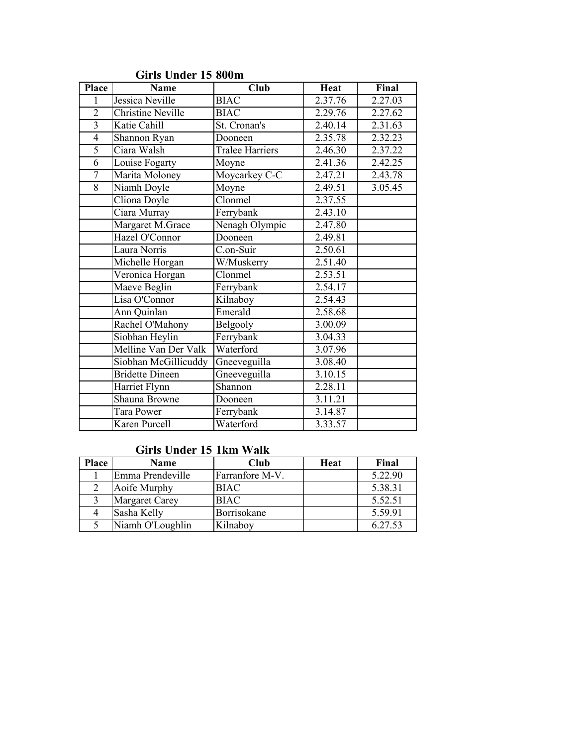| <b>Place</b>   | <b>Name</b>              | $\overline{\text{Club}}$ | <b>Heat</b> | Final   |
|----------------|--------------------------|--------------------------|-------------|---------|
| 1              | Jessica Neville          | <b>BIAC</b>              | 2.37.76     | 2.27.03 |
| $\overline{2}$ | <b>Christine Neville</b> | <b>BIAC</b>              | 2.29.76     | 2.27.62 |
| $\overline{3}$ | Katie Cahill             | St. Cronan's             | 2.40.14     | 2.31.63 |
| $\overline{4}$ | Shannon Ryan             | Dooneen                  | 2.35.78     | 2.32.23 |
| 5              | Ciara Walsh              | Tralee Harriers          | 2.46.30     | 2.37.22 |
| $\overline{6}$ | Louise Fogarty           | Moyne                    | 2.41.36     | 2.42.25 |
| $\overline{7}$ | Marita Moloney           | Moycarkey C-C            | 2.47.21     | 2.43.78 |
| $\overline{8}$ | Niamh Doyle              | Moyne                    | 2.49.51     | 3.05.45 |
|                | Cliona Doyle             | Clonmel                  | 2.37.55     |         |
|                | Ciara Murray             | Ferrybank                | 2.43.10     |         |
|                | Margaret M.Grace         | Nenagh Olympic           | 2.47.80     |         |
|                | Hazel O'Connor           | Dooneen                  | 2.49.81     |         |
|                | Laura Norris             | C.on-Suir                | 2.50.61     |         |
|                | Michelle Horgan          | W/Muskerry               | 2.51.40     |         |
|                | Veronica Horgan          | Clonmel                  | 2.53.51     |         |
|                | Maeve Beglin             | Ferrybank                | 2.54.17     |         |
|                | Lisa O'Connor            | Kilnaboy                 | 2.54.43     |         |
|                | Ann Quinlan              | Emerald                  | 2.58.68     |         |
|                | Rachel O'Mahony          | Belgooly                 | 3.00.09     |         |
|                | Siobhan Heylin           | Ferrybank                | 3.04.33     |         |
|                | Melline Van Der Valk     | Waterford                | 3.07.96     |         |
|                | Siobhan McGillicuddy     | Gneeveguilla             | 3.08.40     |         |
|                | <b>Bridette Dineen</b>   | Gneeveguilla             | 3.10.15     |         |
|                | Harriet Flynn            | Shannon                  | 2.28.11     |         |
|                | Shauna Browne            | Dooneen                  | 3.11.21     |         |
|                | Tara Power               | Ferrybank                | 3.14.87     |         |
|                | Karen Purcell            | Waterford                | 3.33.57     |         |

## Girls Under 15 800m

#### Girls Under 15 1km Walk

| Place | Name                  | Club            | Heat | Final   |
|-------|-----------------------|-----------------|------|---------|
|       | Emma Prendeville      | Farranfore M-V. |      | 5.22.90 |
|       | Aoife Murphy          | <b>BIAC</b>     |      | 5.38.31 |
|       | <b>Margaret Carey</b> | <b>BIAC</b>     |      | 5.52.51 |
|       | Sasha Kelly           | Borrisokane     |      | 5.59.91 |
|       | Niamh O'Loughlin      | Kilnaboy        |      | 6.27.53 |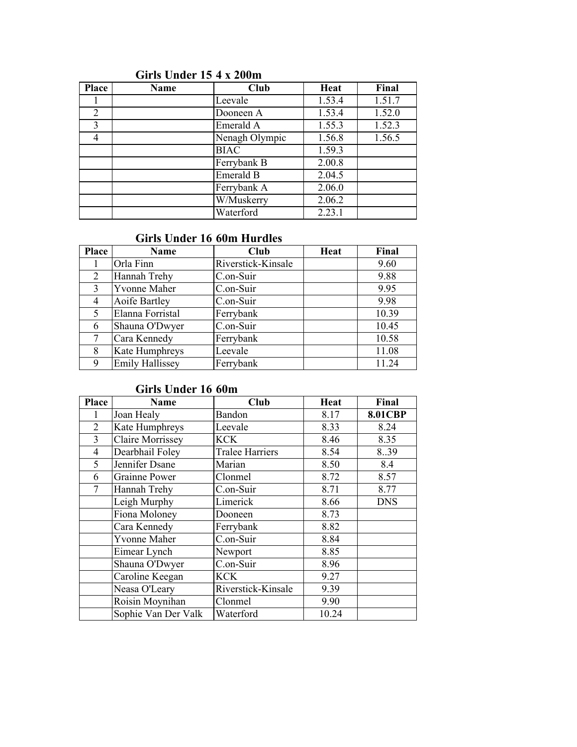| <b>Place</b> | Name | Club           | Heat   | Final  |
|--------------|------|----------------|--------|--------|
|              |      | Leevale        | 1.53.4 | 1.51.7 |
| 2            |      | Dooneen A      | 1.53.4 | 1.52.0 |
| 3            |      | Emerald A      | 1.55.3 | 1.52.3 |
| 4            |      | Nenagh Olympic | 1.56.8 | 1.56.5 |
|              |      | <b>BIAC</b>    | 1.59.3 |        |
|              |      | Ferrybank B    | 2.00.8 |        |
|              |      | Emerald B      | 2.04.5 |        |
|              |      | Ferrybank A    | 2.06.0 |        |
|              |      | W/Muskerry     | 2.06.2 |        |
|              |      | Waterford      | 2.23.1 |        |

## Girls Under 15 4 x 200m

#### Girls Under 16 60m Hurdles

| <b>Place</b> | Name                   | Club               | Heat | Final |
|--------------|------------------------|--------------------|------|-------|
|              | Orla Finn              | Riverstick-Kinsale |      | 9.60  |
| 2            | Hannah Trehy           | C.on-Suir          |      | 9.88  |
| 3            | <b>Yvonne Maher</b>    | C.on-Suir          |      | 9.95  |
| 4            | Aoife Bartley          | C.on-Suir          |      | 9.98  |
| 5            | Elanna Forristal       | Ferrybank          |      | 10.39 |
| 6            | Shauna O'Dwyer         | C.on-Suir          |      | 10.45 |
|              | Cara Kennedy           | Ferrybank          |      | 10.58 |
| 8            | Kate Humphreys         | Leevale            |      | 11.08 |
| 9            | <b>Emily Hallissey</b> | Ferrybank          |      | 11.24 |

# Girls Under 16 60m

| <b>Place</b> | <b>Name</b>             | Club                   | Heat  | Final          |
|--------------|-------------------------|------------------------|-------|----------------|
|              | Joan Healy              | Bandon                 | 8.17  | <b>8.01CBP</b> |
| 2            | Kate Humphreys          | Leevale                | 8.33  | 8.24           |
| 3            | <b>Claire Morrissey</b> | <b>KCK</b>             | 8.46  | 8.35           |
| 4            | Dearbhail Foley         | <b>Tralee Harriers</b> | 8.54  | 8.39           |
| 5            | Jennifer Dsane          | Marian                 | 8.50  | 8.4            |
| 6            | <b>Grainne Power</b>    | Clonmel                | 8.72  | 8.57           |
| 7            | Hannah Trehy            | C.on-Suir              | 8.71  | 8.77           |
|              | Leigh Murphy            | Limerick               | 8.66  | <b>DNS</b>     |
|              | Fiona Moloney           | Dooneen                | 8.73  |                |
|              | Cara Kennedy            | Ferrybank              | 8.82  |                |
|              | <b>Yvonne Maher</b>     | C.on-Suir              | 8.84  |                |
|              | Eimear Lynch            | Newport                | 8.85  |                |
|              | Shauna O'Dwyer          | C.on-Suir              | 8.96  |                |
|              | Caroline Keegan         | <b>KCK</b>             | 9.27  |                |
|              | Neasa O'Leary           | Riverstick-Kinsale     | 9.39  |                |
|              | Roisin Moynihan         | Clonmel                | 9.90  |                |
|              | Sophie Van Der Valk     | Waterford              | 10.24 |                |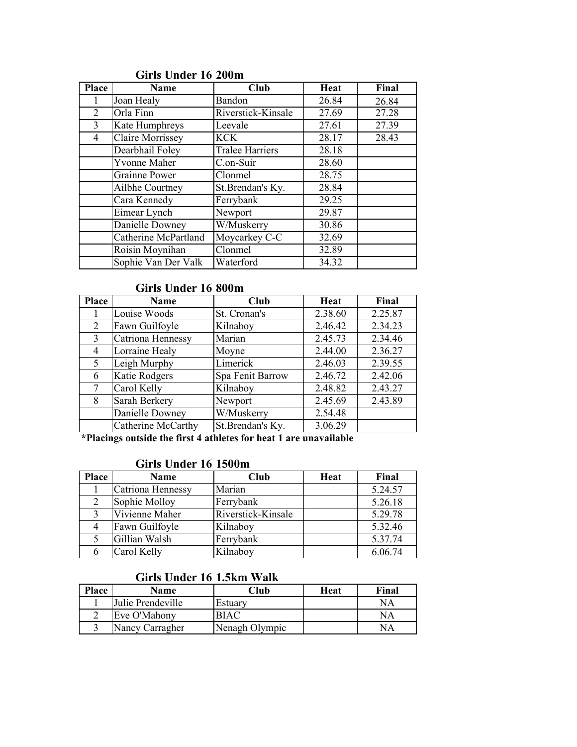| Place | <b>Name</b>                 | Club                   | Heat  | Final |
|-------|-----------------------------|------------------------|-------|-------|
|       | Joan Healy                  | Bandon                 | 26.84 | 26.84 |
| 2     | Orla Finn                   | Riverstick-Kinsale     | 27.69 | 27.28 |
| 3     | Kate Humphreys              | Leevale                | 27.61 | 27.39 |
| 4     | <b>Claire Morrissey</b>     | <b>KCK</b>             | 28.17 | 28.43 |
|       | Dearbhail Foley             | <b>Tralee Harriers</b> | 28.18 |       |
|       | <b>Yvonne Maher</b>         | C.on-Suir              | 28.60 |       |
|       | <b>Grainne Power</b>        | Clonmel                | 28.75 |       |
|       | Ailbhe Courtney             | St.Brendan's Ky.       | 28.84 |       |
|       | Cara Kennedy                | Ferrybank              | 29.25 |       |
|       | Eimear Lynch                | Newport                | 29.87 |       |
|       | Danielle Downey             | W/Muskerry             | 30.86 |       |
|       | <b>Catherine McPartland</b> | Moycarkey C-C          | 32.69 |       |
|       | Roisin Moynihan             | Clonmel                | 32.89 |       |
|       | Sophie Van Der Valk         | Waterford              | 34.32 |       |

# Girls Under 16 200m

## Girls Under 16 800m

| <b>Place</b>   | <b>Name</b>          | <b>Club</b>      | Heat    | Final   |
|----------------|----------------------|------------------|---------|---------|
|                | Louise Woods         | St. Cronan's     | 2.38.60 | 2.25.87 |
| $\overline{2}$ | Fawn Guilfoyle       | Kilnaboy         | 2.46.42 | 2.34.23 |
| 3              | Catriona Hennessy    | Marian           | 2.45.73 | 2.34.46 |
| 4              | Lorraine Healy       | Moyne            | 2.44.00 | 2.36.27 |
| 5              | Leigh Murphy         | Limerick         | 2.46.03 | 2.39.55 |
| 6              | <b>Katie Rodgers</b> | Spa Fenit Barrow | 2.46.72 | 2.42.06 |
|                | Carol Kelly          | Kilnaboy         | 2.48.82 | 2.43.27 |
| 8              | Sarah Berkery        | Newport          | 2.45.69 | 2.43.89 |
|                | Danielle Downey      | W/Muskerry       | 2.54.48 |         |
|                | Catherine McCarthy   | St.Brendan's Ky. | 3.06.29 |         |

\*Placings outside the first 4 athletes for heat 1 are unavailable

#### Girls Under 16 1500m

| <b>Place</b> | Name              | Club               | <b>Heat</b> | Final   |
|--------------|-------------------|--------------------|-------------|---------|
|              | Catriona Hennessy | Marian             |             | 5.24.57 |
|              | Sophie Molloy     | Ferrybank          |             | 5.26.18 |
|              | Vivienne Maher    | Riverstick-Kinsale |             | 5.29.78 |
|              | Fawn Guilfoyle    | Kilnaboy           |             | 5.32.46 |
|              | Gillian Walsh     | Ferrybank          |             | 5.37.74 |
|              | Carol Kelly       | Kilnaboy           |             | 6.06.74 |

# Girls Under 16 1.5km Walk

| Place | Name              | Club           | Heat | Final |
|-------|-------------------|----------------|------|-------|
|       | Julie Prendeville | Estuary        |      | NA    |
|       | Eve O'Mahony      | BIAC           |      | NA    |
|       | Nancy Carragher   | Nenagh Olympic |      | NA    |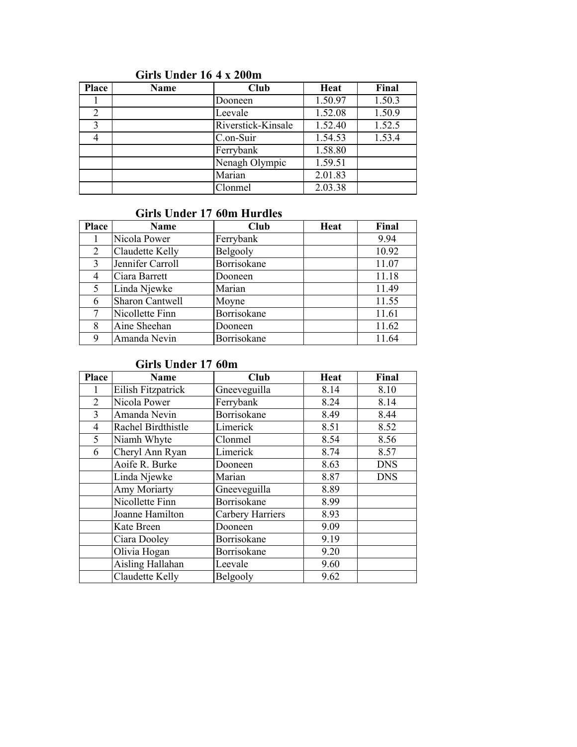| <b>Place</b> | Name | Club               | Heat    | Final  |
|--------------|------|--------------------|---------|--------|
|              |      | Dooneen            | 1.50.97 | 1.50.3 |
| 2            |      | Leevale            | 1.52.08 | 1.50.9 |
| 3            |      | Riverstick-Kinsale | 1.52.40 | 1.52.5 |
|              |      | C.on-Suir          | 1.54.53 | 1.53.4 |
|              |      | Ferrybank          | 1.58.80 |        |
|              |      | Nenagh Olympic     | 1.59.51 |        |
|              |      | Marian             | 2.01.83 |        |
|              |      | Clonmel            | 2.03.38 |        |

## Girls Under 16 4 x 200m

#### Girls Under 17 60m Hurdles

| Place | Name                   | Club        | Heat | Final |
|-------|------------------------|-------------|------|-------|
|       | Nicola Power           | Ferrybank   |      | 9.94  |
| 2     | Claudette Kelly        | Belgooly    |      | 10.92 |
| 3     | Jennifer Carroll       | Borrisokane |      | 11.07 |
| 4     | Ciara Barrett          | Dooneen     |      | 11.18 |
| 5     | Linda Njewke           | Marian      |      | 11.49 |
| 6     | <b>Sharon Cantwell</b> | Moyne       |      | 11.55 |
|       | Nicollette Finn        | Borrisokane |      | 11.61 |
| 8     | Aine Sheehan           | Dooneen     |      | 11.62 |
| 9     | Amanda Nevin           | Borrisokane |      | 11.64 |

#### Girls Under 17 60m

| <b>Place</b> | <b>Name</b>             | Club             | <b>Heat</b> | Final      |
|--------------|-------------------------|------------------|-------------|------------|
|              | Eilish Fitzpatrick      | Gneeveguilla     | 8.14        | 8.10       |
| 2            | Nicola Power            | Ferrybank        | 8.24        | 8.14       |
| 3            | Amanda Nevin            | Borrisokane      | 8.49        | 8.44       |
| 4            | Rachel Birdthistle      | Limerick         | 8.51        | 8.52       |
| 5            | Niamh Whyte             | Clonmel          | 8.54        | 8.56       |
| 6            | Cheryl Ann Ryan         | Limerick         | 8.74        | 8.57       |
|              | Aoife R. Burke          | Dooneen          | 8.63        | <b>DNS</b> |
|              | Linda Njewke            | Marian           | 8.87        | <b>DNS</b> |
|              | <b>Amy Moriarty</b>     | Gneeveguilla     | 8.89        |            |
|              | Nicollette Finn         | Borrisokane      | 8.99        |            |
|              | Joanne Hamilton         | Carbery Harriers | 8.93        |            |
|              | Kate Breen              | Dooneen          | 9.09        |            |
|              | Ciara Dooley            | Borrisokane      | 9.19        |            |
|              | Olivia Hogan            | Borrisokane      | 9.20        |            |
|              | <b>Aisling Hallahan</b> | Leevale          | 9.60        |            |
|              | Claudette Kelly         | Belgooly         | 9.62        |            |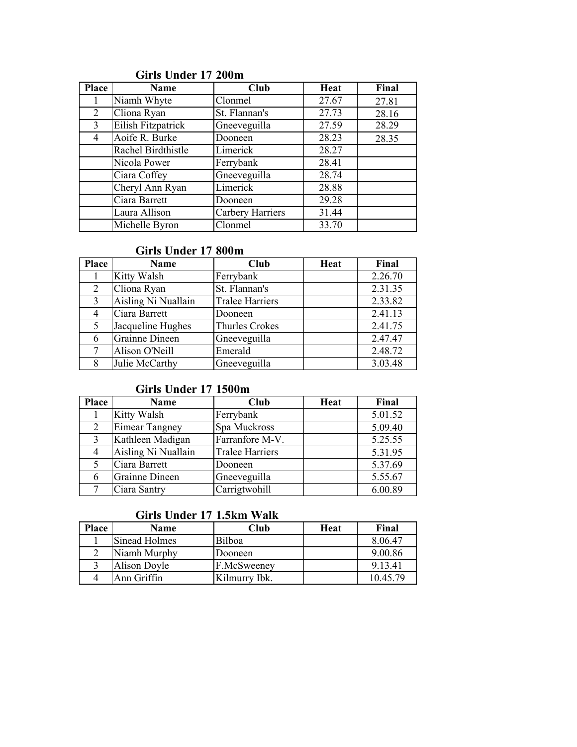| Place | <b>Name</b>        | Club             | Heat  | Final |
|-------|--------------------|------------------|-------|-------|
|       | Niamh Whyte        | Clonmel          | 27.67 | 27.81 |
| 2     | Cliona Ryan        | St. Flannan's    | 27.73 | 28.16 |
| 3     | Eilish Fitzpatrick | Gneeveguilla     | 27.59 | 28.29 |
| 4     | Aoife R. Burke     | Dooneen          | 28.23 | 28.35 |
|       | Rachel Birdthistle | Limerick         | 28.27 |       |
|       | Nicola Power       | Ferrybank        | 28.41 |       |
|       | Ciara Coffey       | Gneeveguilla     | 28.74 |       |
|       | Cheryl Ann Ryan    | Limerick         | 28.88 |       |
|       | Ciara Barrett      | Dooneen          | 29.28 |       |
|       | Laura Allison      | Carbery Harriers | 31.44 |       |
|       | Michelle Byron     | Clonmel          | 33.70 |       |

## Girls Under 17 200m

#### Girls Under 17 800m

| <b>Place</b> | <b>Name</b>         | <b>Club</b>            | Heat | Final   |
|--------------|---------------------|------------------------|------|---------|
|              | Kitty Walsh         | Ferrybank              |      | 2.26.70 |
| 2            | Cliona Ryan         | St. Flannan's          |      | 2.31.35 |
| 3            | Aisling Ni Nuallain | <b>Tralee Harriers</b> |      | 2.33.82 |
| 4            | Ciara Barrett       | Dooneen                |      | 2.41.13 |
| 5            | Jacqueline Hughes   | <b>Thurles Crokes</b>  |      | 2.41.75 |
| 6            | Grainne Dineen      | Gneeveguilla           |      | 2.47.47 |
|              | Alison O'Neill      | Emerald                |      | 2.48.72 |
| 8            | Julie McCarthy      | Gneeveguilla           |      | 3.03.48 |

## Girls Under 17 1500m

| <b>Place</b> | <b>Name</b>           | Club                   | Heat | Final   |
|--------------|-----------------------|------------------------|------|---------|
|              | Kitty Walsh           | Ferrybank              |      | 5.01.52 |
|              | <b>Eimear Tangney</b> | Spa Muckross           |      | 5.09.40 |
| 3            | Kathleen Madigan      | Farranfore M-V.        |      | 5.25.55 |
|              | Aisling Ni Nuallain   | <b>Tralee Harriers</b> |      | 5.31.95 |
|              | Ciara Barrett         | Dooneen                |      | 5.37.69 |
| 6            | <b>Grainne Dineen</b> | Gneeveguilla           |      | 5.55.67 |
|              | Ciara Santry          | Carrigtwohill          |      | 6.00.89 |

## Girls Under 17 1.5km Walk

| Place | Name          | Club          | Heat | Final    |
|-------|---------------|---------------|------|----------|
|       | Sinead Holmes | Bilboa        |      | 8.06.47  |
|       | Niamh Murphy  | Dooneen       |      | 9.00.86  |
|       | Alison Doyle  | F.McSweeney   |      | 9.13.41  |
|       | Ann Griffin   | Kilmurry Ibk. |      | 10.45.79 |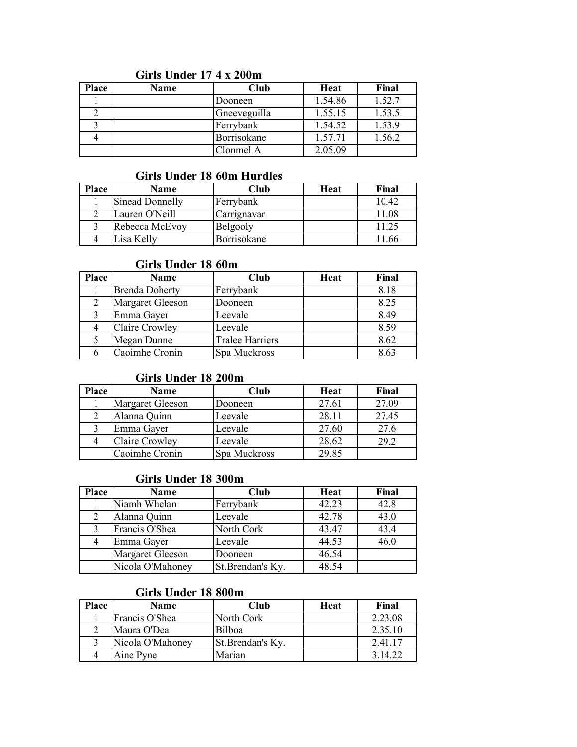#### Girls Under 17 4 x 200m

| <b>Place</b> | Name | Club         | <b>Heat</b> | Final  |
|--------------|------|--------------|-------------|--------|
|              |      | Dooneen      | 1.54.86     | 1.52.7 |
|              |      | Gneeveguilla | 1.55.15     | 1.53.5 |
|              |      | Ferrybank    | 1.54.52     | 1.53.9 |
|              |      | Borrisokane  | 1.57.71     | 1.56.2 |
|              |      | Clonmel A    | 2.05.09     |        |

#### Girls Under 18 60m Hurdles

| <b>Place</b> | <b>Name</b>            | Club        | Heat | Final |
|--------------|------------------------|-------------|------|-------|
|              | <b>Sinead Donnelly</b> | Ferrybank   |      | 10.42 |
|              | Lauren O'Neill         | Carrignavar |      | 11.08 |
|              | Rebecca McEvoy         | Belgooly    |      |       |
|              | Lisa Kelly             | Borrisokane |      | .66   |

#### Girls Under 18 60m

| <b>Place</b> | Name                  | Club                   | <b>Heat</b> | Final |
|--------------|-----------------------|------------------------|-------------|-------|
|              | <b>Brenda Doherty</b> | Ferrybank              |             | 8.18  |
|              | Margaret Gleeson      | Dooneen                |             | 8.25  |
|              | Emma Gayer            | Leevale                |             | 8.49  |
|              | <b>Claire Crowley</b> | Leevale                |             | 8.59  |
|              | Megan Dunne           | <b>Tralee Harriers</b> |             | 8.62  |
|              | Caoimhe Cronin        | Spa Muckross           |             | 8.63  |

#### Girls Under 18 200m

| Place | Name                  | Club         | <b>Heat</b> | Final |
|-------|-----------------------|--------------|-------------|-------|
|       | Margaret Gleeson      | Dooneen      | 27.61       | 27.09 |
|       | Alanna Quinn          | Leevale      | 28.11       | 27.45 |
|       | Emma Gayer            | Leevale      | 27.60       | 27.6  |
|       | <b>Claire Crowley</b> | Leevale      | 28.62       | 29.2  |
|       | Caoimhe Cronin        | Spa Muckross | 29.85       |       |

#### Girls Under 18 300m

| Place | Name                    | Club             | Heat  | Final |
|-------|-------------------------|------------------|-------|-------|
|       | Niamh Whelan            | Ferrybank        | 42.23 | 42.8  |
| 2     | Alanna Quinn            | Leevale          | 42.78 | 43.0  |
|       | Francis O'Shea          | North Cork       | 43.47 | 43.4  |
|       | Emma Gayer              | Leevale          | 44.53 | 46.0  |
|       | <b>Margaret Gleeson</b> | Dooneen          | 46.54 |       |
|       | Nicola O'Mahoney        | St.Brendan's Ky. | 48.54 |       |

#### Girls Under 18 800m

| <b>Place</b> | Name             | Club              | Heat | Final   |
|--------------|------------------|-------------------|------|---------|
|              | Francis O'Shea   | North Cork        |      | 2.23.08 |
|              | Maura O'Dea      | Bilboa            |      | 2.35.10 |
|              | Nicola O'Mahoney | St. Brendan's Ky. |      | 2.41.17 |
|              | Aine Pyne        | Marian            |      | 3 14 22 |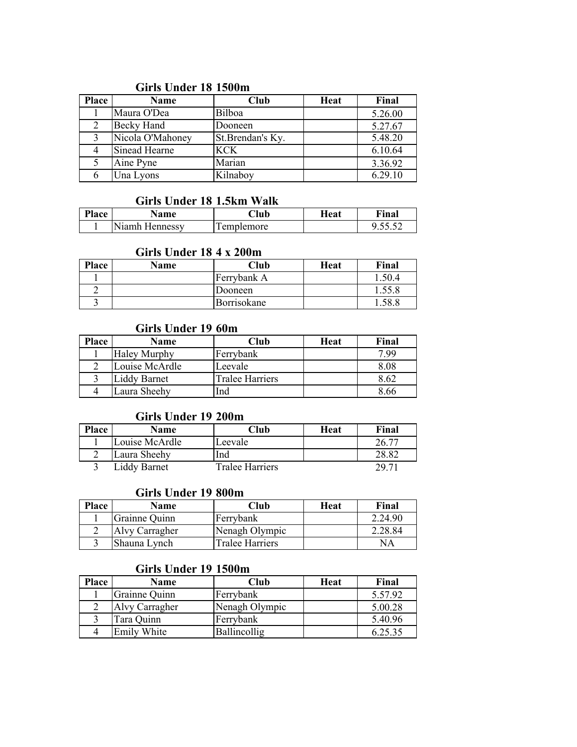## Girls Under 18 1500m

| <b>Place</b> | <b>Name</b>       | Club             | Heat | Final   |
|--------------|-------------------|------------------|------|---------|
|              | Maura O'Dea       | Bilboa           |      | 5.26.00 |
|              | <b>Becky Hand</b> | Dooneen          |      | 5.27.67 |
|              | Nicola O'Mahoney  | St.Brendan's Ky. |      | 5.48.20 |
|              | Sinead Hearne     | <b>KCK</b>       |      | 6.10.64 |
|              | Aine Pyne         | Marian           |      | 3.36.92 |
|              | Una Lyons         | Kilnaboy         |      | 6.29.10 |

#### Girls Under 18 1.5km Walk

| Place | Name           | <b>Club</b> | Heat | Final |
|-------|----------------|-------------|------|-------|
|       | Niamh Hennessy | emplemore   |      |       |

## Girls Under 18 4 x 200m

| <b>Place</b> | Name | Club        | Heat | Final  |
|--------------|------|-------------|------|--------|
|              |      | Ferrybank A |      | 1.50.4 |
|              |      | Dooneen     |      | 1.55.8 |
|              |      | Borrisokane |      | 58.8   |

#### Girls Under 19 60m

| <b>Place</b> | Name                | Club                   | Heat | Final |
|--------------|---------------------|------------------------|------|-------|
|              | <b>Haley Murphy</b> | Ferrybank              |      | 7.99  |
|              | Louise McArdle      | Leevale                |      | 8.08  |
|              | <b>Liddy Barnet</b> | <b>Tralee Harriers</b> |      | 8.62  |
|              | Laura Sheehy        | Ind                    |      | 8.66  |

#### Girls Under 19 200m

| Place | <b>Name</b>    | Club            | <b>Heat</b> | Final |
|-------|----------------|-----------------|-------------|-------|
|       | Louise McArdle | Leevale         |             | 26.77 |
|       | Laura Sheehy   | Ind             |             | 28.82 |
|       | Liddy Barnet   | Tralee Harriers |             | 29 Z1 |

### Girls Under 19 800m

| <b>Place</b> | <b>Name</b>    | Club            | Heat | Final   |
|--------------|----------------|-----------------|------|---------|
|              | Grainne Quinn  | Ferrybank       |      | 2.24.90 |
|              | Alvy Carragher | Nenagh Olympic  |      | 2.28.84 |
|              | Shauna Lynch   | Tralee Harriers |      | NA      |

#### Girls Under 19 1500m

| <b>Place</b> | Name               | Club           | Heat | Final   |
|--------------|--------------------|----------------|------|---------|
|              | Grainne Quinn      | Ferrybank      |      | 5.57.92 |
|              | Alvy Carragher     | Nenagh Olympic |      | 5.00.28 |
|              | Tara Quinn         | Ferrybank      |      | 5.40.96 |
|              | <b>Emily White</b> | Ballincollig   |      | 6.25.35 |